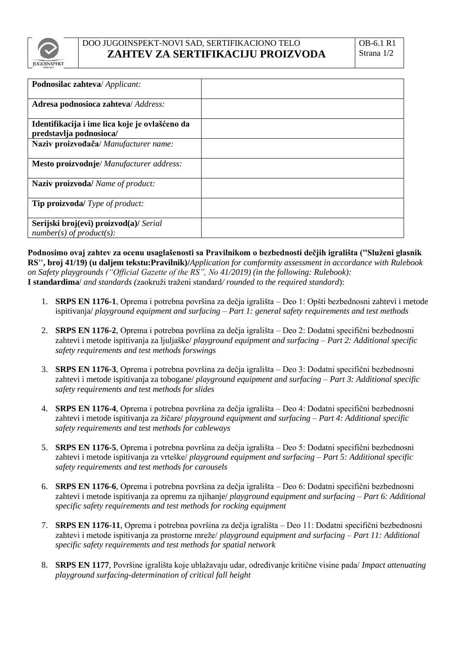

## DOO JUGOINSPEKT-NOVI SAD, SERTIFIKACIONO TELO **ZAHTEV ZA SERTIFIKACIJU PROIZVODA**

| Podnosilac zahteva/ Applicant:                                            |  |
|---------------------------------------------------------------------------|--|
| Adresa podnosioca zahteva/Address:                                        |  |
| Identifikacija i ime lica koje je ovlašćeno da<br>predstavlja podnosioca/ |  |
| Naziv proizvođača/Manufacturer name:                                      |  |
| Mesto proizvodnje/ Manufacturer address:                                  |  |
| <b>Naziv proizvoda/</b> Name of product:                                  |  |
| <b>Tip proizvoda/</b> Type of product:                                    |  |
| Serijski broj(evi) proizvod(a)/ Serial<br>$number(s)$ of product(s):      |  |

**Podnosimo ovaj zahtev za ocenu usaglašenosti sa Pravilnikom o bezbednosti dečjih igrališta (''Služeni glasnik RS'', broj 41/19) (u daljem tekstu:Pravilnik)/***Application for comformity assessment in accordance with Rulebook on Safety playgrounds ("Official Gazette of the RS", No 41/2019) (in the following: Rulebook):* **I standardima**/ *and standards (*zaokruži traženi standard*/ rounded to the required standard*):

- 1. **SRPS EN 1176-1**, Oprema i potrebna površina za dečja igrališta Deo 1: Opšti bezbednosni zahtevi i metode ispitivanja/ *playground equipment and surfacing – Part 1: general safety requirements and test methods*
- 2. **SRPS EN 1176-2**, Oprema i potrebna površina za dečja igrališta Deo 2: Dodatni specifični bezbednosni zahtevi i metode ispitivanja za ljuljaške/ *playground equipment and surfacing – Part 2: Additional specific safety requirements and test methods forswings*
- 3. **SRPS EN 1176-3**, Oprema i potrebna površina za dečja igrališta Deo 3: Dodatni specifični bezbednosni zahtevi i metode ispitivanja za tobogane/ *playground equipment and surfacing – Part 3: Additional specific safety requirements and test methods for slides*
- 4. **SRPS EN 1176-4**, Oprema i potrebna površina za dečja igrališta Deo 4: Dodatni specifični bezbednosni zahtevi i metode ispitivanja za žičare/ *playground equipment and surfacing – Part 4: Additional specific safety requirements and test methods for cableways*
- 5. **SRPS EN 1176-5**, Oprema i potrebna površina za dečja igrališta Deo 5: Dodatni specifični bezbednosni zahtevi i metode ispitivanja za vrteške/ *playground equipment and surfacing – Part 5: Additional specific safety requirements and test methods for carousels*
- 6. **SRPS EN 1176-6**, Oprema i potrebna površina za dečja igrališta Deo 6: Dodatni specifični bezbednosni zahtevi i metode ispitivanja za opremu za njihanje/ *playground equipment and surfacing – Part 6: Additional specific safety requirements and test methods for rocking equipment*
- 7. **SRPS EN 1176-11**, Oprema i potrebna površina za dečja igrališta Deo 11: Dodatni specifični bezbednosni zahtevi i metode ispitivanja za prostorne mreže/ *playground equipment and surfacing – Part 11: Additional specific safety requirements and test methods for spatial network*
- 8. **SRPS EN 1177**, Površine igrališta koje ublažavaju udar, određivanje kritične visine pada/ *Impact attenuating playground surfacing-determination of critical fall height*